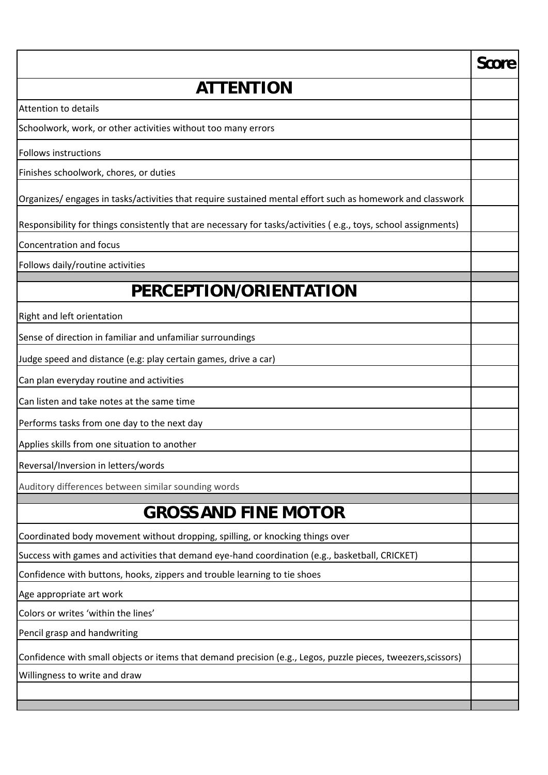|                                                                                                                 | Score |
|-----------------------------------------------------------------------------------------------------------------|-------|
| ATTENTION                                                                                                       |       |
| <b>Attention to details</b>                                                                                     |       |
| Schoolwork, work, or other activities without too many errors                                                   |       |
| <b>Follows instructions</b>                                                                                     |       |
| Finishes schoolwork, chores, or duties                                                                          |       |
| Organizes/ engages in tasks/activities that require sustained mental effort such as homework and classwork      |       |
| Responsibility for things consistently that are necessary for tasks/activities (e.g., toys, school assignments) |       |
| Concentration and focus                                                                                         |       |
| Follows daily/routine activities                                                                                |       |
| PERCEPTION/ORIENTATION                                                                                          |       |
| Right and left orientation                                                                                      |       |
| Sense of direction in familiar and unfamiliar surroundings                                                      |       |
| Judge speed and distance (e.g: play certain games, drive a car)                                                 |       |
| Can plan everyday routine and activities                                                                        |       |
| Can listen and take notes at the same time                                                                      |       |
| Performs tasks from one day to the next day                                                                     |       |
| Applies skills from one situation to another                                                                    |       |
| Reversal/Inversion in letters/words                                                                             |       |
| Auditory differences between similar sounding words                                                             |       |
| <b>GROSS AND FINE MOTOR</b>                                                                                     |       |
| Coordinated body movement without dropping, spilling, or knocking things over                                   |       |
| Success with games and activities that demand eye-hand coordination (e.g., basketball, CRICKET)                 |       |
| Confidence with buttons, hooks, zippers and trouble learning to tie shoes                                       |       |
| Age appropriate art work                                                                                        |       |
| Colors or writes 'within the lines'                                                                             |       |
| Pencil grasp and handwriting                                                                                    |       |
| Confidence with small objects or items that demand precision (e.g., Legos, puzzle pieces, tweezers, scissors)   |       |
| Willingness to write and draw                                                                                   |       |
|                                                                                                                 |       |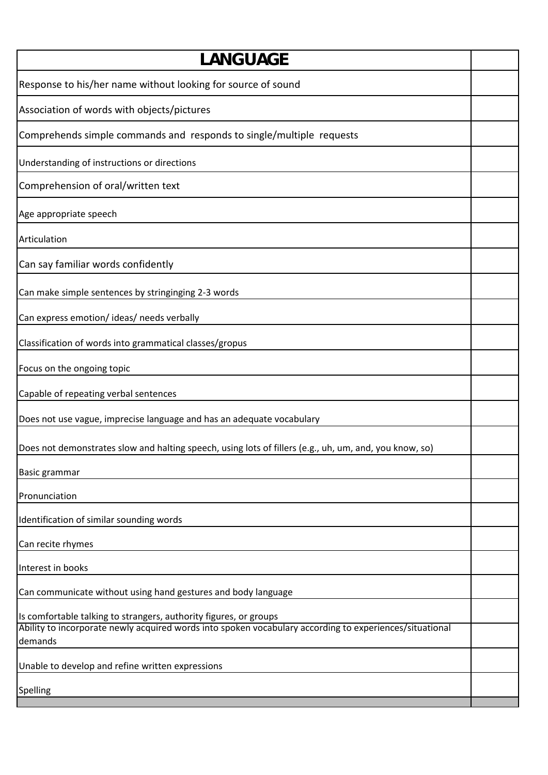| ANGUAGE                                                                                                                                                                                 |  |
|-----------------------------------------------------------------------------------------------------------------------------------------------------------------------------------------|--|
| Response to his/her name without looking for source of sound                                                                                                                            |  |
| Association of words with objects/pictures                                                                                                                                              |  |
| Comprehends simple commands and responds to single/multiple requests                                                                                                                    |  |
| Understanding of instructions or directions                                                                                                                                             |  |
| Comprehension of oral/written text                                                                                                                                                      |  |
| Age appropriate speech                                                                                                                                                                  |  |
| Articulation                                                                                                                                                                            |  |
| Can say familiar words confidently                                                                                                                                                      |  |
| Can make simple sentences by stringinging 2-3 words                                                                                                                                     |  |
| Can express emotion/ideas/needs verbally                                                                                                                                                |  |
| Classification of words into grammatical classes/gropus                                                                                                                                 |  |
| Focus on the ongoing topic                                                                                                                                                              |  |
| Capable of repeating verbal sentences                                                                                                                                                   |  |
| Does not use vague, imprecise language and has an adequate vocabulary                                                                                                                   |  |
| Does not demonstrates slow and halting speech, using lots of fillers (e.g., uh, um, and, you know, so)                                                                                  |  |
| Basic grammar                                                                                                                                                                           |  |
| Pronunciation                                                                                                                                                                           |  |
| Identification of similar sounding words                                                                                                                                                |  |
| Can recite rhymes                                                                                                                                                                       |  |
| Interest in books                                                                                                                                                                       |  |
| Can communicate without using hand gestures and body language                                                                                                                           |  |
| Is comfortable talking to strangers, authority figures, or groups<br>Ability to incorporate newly acquired words into spoken vocabulary according to experiences/situational<br>demands |  |
| Unable to develop and refine written expressions                                                                                                                                        |  |
| Spelling                                                                                                                                                                                |  |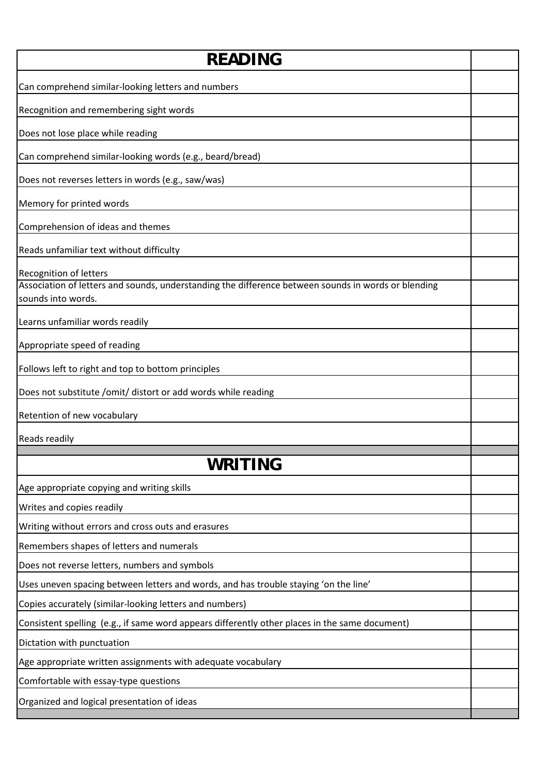| RFADING                                                                                                                   |  |
|---------------------------------------------------------------------------------------------------------------------------|--|
| Can comprehend similar-looking letters and numbers                                                                        |  |
| Recognition and remembering sight words                                                                                   |  |
| Does not lose place while reading                                                                                         |  |
| Can comprehend similar-looking words (e.g., beard/bread)                                                                  |  |
| Does not reverses letters in words (e.g., saw/was)                                                                        |  |
| Memory for printed words                                                                                                  |  |
| Comprehension of ideas and themes                                                                                         |  |
| Reads unfamiliar text without difficulty                                                                                  |  |
| <b>Recognition of letters</b>                                                                                             |  |
| Association of letters and sounds, understanding the difference between sounds in words or blending<br>sounds into words. |  |
| Learns unfamiliar words readily                                                                                           |  |
| Appropriate speed of reading                                                                                              |  |
| Follows left to right and top to bottom principles                                                                        |  |
| Does not substitute /omit/ distort or add words while reading                                                             |  |
| Retention of new vocabulary                                                                                               |  |
| Reads readily                                                                                                             |  |
| WRITING                                                                                                                   |  |
|                                                                                                                           |  |
| Age appropriate copying and writing skills                                                                                |  |
| Writes and copies readily                                                                                                 |  |
| Writing without errors and cross outs and erasures                                                                        |  |
| Remembers shapes of letters and numerals                                                                                  |  |
| Does not reverse letters, numbers and symbols                                                                             |  |
| Uses uneven spacing between letters and words, and has trouble staying 'on the line'                                      |  |
| Copies accurately (similar-looking letters and numbers)                                                                   |  |
| Consistent spelling (e.g., if same word appears differently other places in the same document)                            |  |
| Dictation with punctuation                                                                                                |  |
| Age appropriate written assignments with adequate vocabulary                                                              |  |
| Comfortable with essay-type questions                                                                                     |  |
| Organized and logical presentation of ideas                                                                               |  |